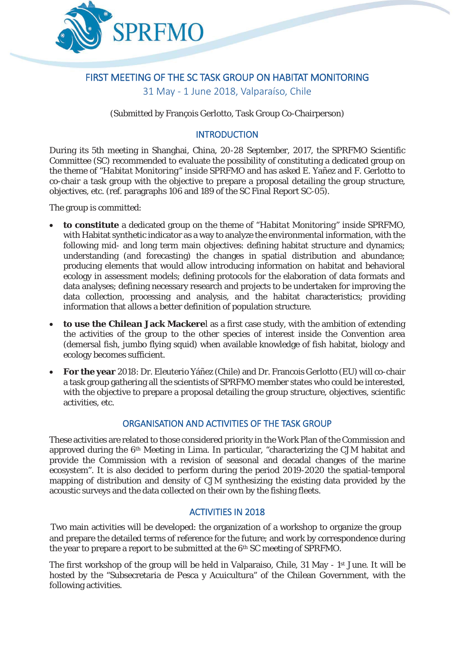

# FIRST MEETING OF THE SC TASK GROUP ON HABITAT MONITORING

31 May - 1 June 2018, Valparaíso, Chile

(Submitted by François Gerlotto, Task Group Co-Chairperson)

# **INTRODUCTION**

During its 5th meeting in Shanghai, China, 20-28 September, 2017, the SPRFMO Scientific Committee (SC) recommended to evaluate the possibility of constituting a dedicated group on the theme of "*Habitat Monitoring*" inside SPRFMO and has asked E. Yañez and F. Gerlotto to co-chair a task group with the objective to prepare a proposal detailing the group structure, objectives, etc. (ref. paragraphs 106 and 189 of the SC Final Report SC-05).

The group is committed:

- x **to constitute** a dedicated group on the theme of "*Habitat Monitoring*" inside SPRFMO, with Habitat synthetic indicator as a way to analyze the environmental information, with the following mid- and long term main objectives: defining habitat structure and dynamics; understanding (and forecasting) the changes in spatial distribution and abundance; producing elements that would allow introducing information on habitat and behavioral ecology in assessment models; defining protocols for the elaboration of data formats and data analyses; defining necessary research and projects to be undertaken for improving the data collection, processing and analysis, and the habitat characteristics; providing information that allows a better definition of population structure.
- **to use the Chilean Jack Mackere**l as a first case study, with the ambition of extending the activities of the group to the other species of interest inside the Convention area (demersal fish, jumbo flying squid) when available knowledge of fish habitat, biology and ecology becomes sufficient.
- x **For the year** 2018: Dr. Eleuterio Yáñez (Chile) and Dr. Francois Gerlotto (EU) will co-chair a task group gathering all the scientists of SPRFMO member states who could be interested, with the objective to prepare a proposal detailing the group structure, objectives, scientific activities, etc.

# ORGANISATION AND ACTIVITIES OF THE TASK GROUP

These activities are related to those considered priority in the Work Plan of the Commission and approved during the 6th Meeting in Lima. In particular, "characterizing the CJM habitat and provide the Commission with a revision of seasonal and decadal changes of the marine ecosystem". It is also decided to perform during the period 2019-2020 the spatial-temporal mapping of distribution and density of CJM synthesizing the existing data provided by the acoustic surveys and the data collected on their own by the fishing fleets.

# ACTIVITIES IN 2018

Two main activities will be developed: the organization of a workshop to organize the group and prepare the detailed terms of reference for the future; and work by correspondence during the year to prepare a report to be submitted at the 6th SC meeting of SPRFMO.

The first workshop of the group will be held in Valparaiso, Chile, 31 May - 1<sup>st</sup> June. It will be hosted by the "Subsecretaria de Pesca y Acuicultura" of the Chilean Government, with the following activities.